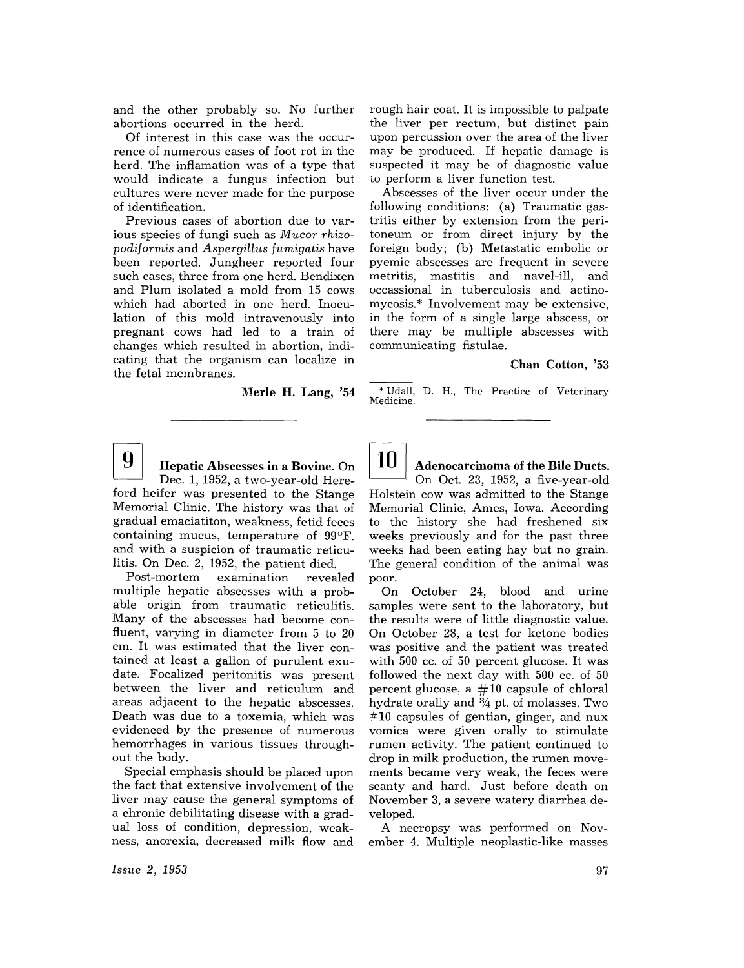and the other probably so. No further abortions occurred in the herd.

Of interest in this case was the occurrence of numerous cases of foot rot in the herd. The inflamation was of a type that would indicate a fungus infection but cultures were never made for the purpose of identification.

Previous cases of abortion due to various species of fungi such as *Mucor rhizopodiformis* and *Aspergillus fumigatis* have been reported. Jungheer reported four such cases, three from one herd. Bendixen and Plum isolated a mold from 15 cows which had aborted in one herd. Inoculation of this mold intravenously into pregnant cows had led to a train of changes which resulted in abortion, indicating that the organism can localize in the fetal membranes.

Merle H. Lang, '54

rough hair coat. It is impossible to palpate the liver per rectum, but distinct pain upon percussion over the area of the liver may be produced. If hepatic damage is suspected it may be of diagnostic value to perform a liver function test.

Abscesses of the liver occur under the following conditions: (a) Traumatic gastritis either by extension from the peritoneum or from direct injury by the foreign body; (b) Metastatic embolic or pyemic abscesses are frequent in severe metritis, mastitis and navel-ill, and occassional in tuberculosis and actinomycosis.\* Involvement may be extensive, in the form of a single large abscess, or there may be multiple abscesses with communicating fistulae.

## Chan Cotton, '53

\* Udall, D. H., The Practice of Veterinary Medicine.



Hepatic Abscesses in a Bovine. On

Dec. 1, 1952, a two-year-old Hereford heifer was presented to the Stange Memorial Clinic. The history was that of gradual emaciatiton, weakness, fetid feces containing mucus, temperature of 99°F. and with a suspicion of traumatic reticulitis. On Dec. 2, 1952, the patient died.<br>Post-mortem examination revealed

Post-mortem examination revealed multiple hepatic abscesses with a probable origin from traumatic reticulitis. Many of the abscesses had become confluent, varying in diameter from 5 to 20 cm. It was estimated that the liver contained at least a gallon of purulent exudate. Focalized peritonitis was present between the liver and reticulum and areas adjacent to the hepatic abscesses. Death was due to a toxemia, which was evidenced by the presence of numerous hemorrhages in various tissues throughout the body.

Special emphasis should be placed upon the fact that extensive involvement of the liver may cause the general symptoms of a chronic debilitating disease with a gradual loss of condition, depression, weakness, anorexia, decreased milk flow and

 $10 \mid$  Adenocarcinoma of the Bile Ducts. On Oct. 23, 1952, a five-year-old Holstein cow was admitted to the Stange Memorial Clinic, Ames, Iowa. According to the history she had freshened six weeks previously and for the past three weeks had been eating hay but no grain. The general condition of the animal was poor.

On October 24, blood and urine samples were sent to the laboratory, but the results were of little diagnostic value. On October 28, a test for ketone bodies was positive and the patient was treated with 500 cc. of 50 percent glucose. It was followed the next day with 500 cc. of 50 percent glucose, a  $#10$  capsule of chloral hydrate orally and  $\frac{3}{4}$  pt. of molasses. Two  $#10$  capsules of gentian, ginger, and nux vomica were given orally to stimulate rumen activity. The patient continued to drop in milk production, the rumen movements became very weak, the feces were scanty and hard. Just before death on November 3, a severe watery diarrhea developed.

A necropsy was performed on November 4. Multiple neoplastic-like masses

*Issue* 2, 1953